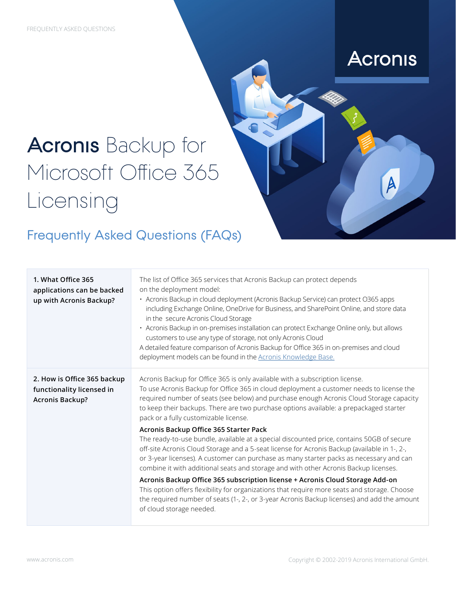## **Acronis**

 $\overline{\mathsf{A}}$ 

## **Acronis** Backup for Microsoft Office 365 Licensing

## Frequently Asked Questions (FAQs)

| 1. What Office 365<br>applications can be backed<br>up with Acronis Backup?        | The list of Office 365 services that Acronis Backup can protect depends<br>on the deployment model:<br>· Acronis Backup in cloud deployment (Acronis Backup Service) can protect O365 apps<br>including Exchange Online, OneDrive for Business, and SharePoint Online, and store data<br>in the secure Acronis Cloud Storage<br>· Acronis Backup in on-premises installation can protect Exchange Online only, but allows<br>customers to use any type of storage, not only Acronis Cloud<br>A detailed feature comparison of Acronis Backup for Office 365 in on-premises and cloud<br>deployment models can be found in the Acronis Knowledge Base. |
|------------------------------------------------------------------------------------|-------------------------------------------------------------------------------------------------------------------------------------------------------------------------------------------------------------------------------------------------------------------------------------------------------------------------------------------------------------------------------------------------------------------------------------------------------------------------------------------------------------------------------------------------------------------------------------------------------------------------------------------------------|
| 2. How is Office 365 backup<br>functionality licensed in<br><b>Acronis Backup?</b> | Acronis Backup for Office 365 is only available with a subscription license.<br>To use Acronis Backup for Office 365 in cloud deployment a customer needs to license the<br>required number of seats (see below) and purchase enough Acronis Cloud Storage capacity<br>to keep their backups. There are two purchase options available: a prepackaged starter<br>pack or a fully customizable license.<br>Acronis Backup Office 365 Starter Pack<br>The ready-to-use bundle, available at a special discounted price, contains 50GB of secure<br>off-site Acronis Cloud Storage and a 5-seat license for Acronis Backup (available in 1-, 2-,         |
|                                                                                    | or 3-year licenses). A customer can purchase as many starter packs as necessary and can<br>combine it with additional seats and storage and with other Acronis Backup licenses.<br>Acronis Backup Office 365 subscription license + Acronis Cloud Storage Add-on                                                                                                                                                                                                                                                                                                                                                                                      |
|                                                                                    | This option offers flexibility for organizations that require more seats and storage. Choose<br>the required number of seats (1-, 2-, or 3-year Acronis Backup licenses) and add the amount<br>of cloud storage needed.                                                                                                                                                                                                                                                                                                                                                                                                                               |